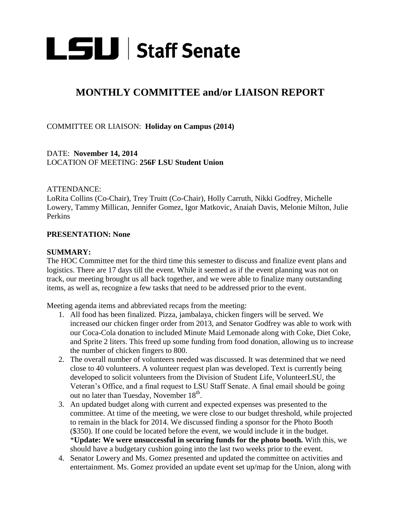

# **MONTHLY COMMITTEE and/or LIAISON REPORT**

COMMITTEE OR LIAISON: **Holiday on Campus (2014)** 

DATE: **November 14, 2014** LOCATION OF MEETING: **256F LSU Student Union** 

### ATTENDANCE:

LoRita Collins (Co-Chair), Trey Truitt (Co-Chair), Holly Carruth, Nikki Godfrey, Michelle Lowery, Tammy Millican, Jennifer Gomez, Igor Matkovic, Anaiah Davis, Melonie Milton, Julie Perkins

#### **PRESENTATION: None**

#### **SUMMARY:**

The HOC Committee met for the third time this semester to discuss and finalize event plans and logistics. There are 17 days till the event. While it seemed as if the event planning was not on track, our meeting brought us all back together, and we were able to finalize many outstanding items, as well as, recognize a few tasks that need to be addressed prior to the event.

Meeting agenda items and abbreviated recaps from the meeting:

- 1. All food has been finalized. Pizza, jambalaya, chicken fingers will be served. We increased our chicken finger order from 2013, and Senator Godfrey was able to work with our Coca-Cola donation to included Minute Maid Lemonade along with Coke, Diet Coke, and Sprite 2 liters. This freed up some funding from food donation, allowing us to increase the number of chicken fingers to 800.
- 2. The overall number of volunteers needed was discussed. It was determined that we need close to 40 volunteers. A volunteer request plan was developed. Text is currently being developed to solicit volunteers from the Division of Student Life, VolunteerLSU, the Veteran's Office, and a final request to LSU Staff Senate. A final email should be going out no later than Tuesday, November  $18<sup>th</sup>$ .
- 3. An updated budget along with current and expected expenses was presented to the committee. At time of the meeting, we were close to our budget threshold, while projected to remain in the black for 2014. We discussed finding a sponsor for the Photo Booth (\$350). If one could be located before the event, we would include it in the budget. \***Update: We were unsuccessful in securing funds for the photo booth.** With this, we should have a budgetary cushion going into the last two weeks prior to the event.
- 4. Senator Lowery and Ms. Gomez presented and updated the committee on activities and entertainment. Ms. Gomez provided an update event set up/map for the Union, along with